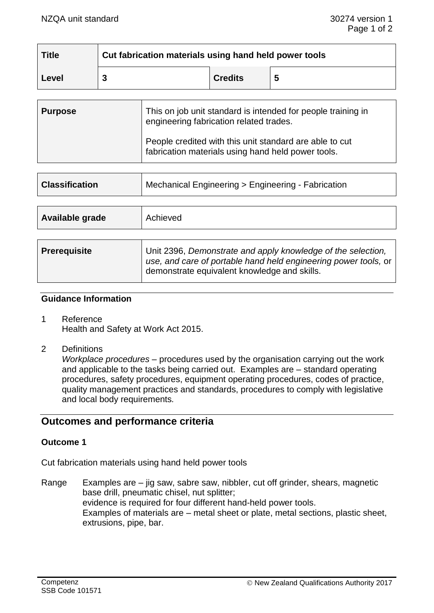| <b>Title</b> | Cut fabrication materials using hand held power tools |                |   |
|--------------|-------------------------------------------------------|----------------|---|
| Level        |                                                       | <b>Credits</b> | 5 |

| <b>Purpose</b> | This on job unit standard is intended for people training in<br>engineering fabrication related trades.       |  |
|----------------|---------------------------------------------------------------------------------------------------------------|--|
|                | People credited with this unit standard are able to cut<br>fabrication materials using hand held power tools. |  |

| <b>Classification</b> | Mechanical Engineering > Engineering - Fabrication |  |
|-----------------------|----------------------------------------------------|--|
|                       |                                                    |  |
| Available grade       | Achieved                                           |  |

| <b>Prerequisite</b> | Unit 2396, Demonstrate and apply knowledge of the selection,<br>use, and care of portable hand held engineering power tools, or |
|---------------------|---------------------------------------------------------------------------------------------------------------------------------|
|                     | demonstrate equivalent knowledge and skills.                                                                                    |

### **Guidance Information**

- 1 Reference Health and Safety at Work Act 2015.
- 2 Definitions

*Workplace procedures –* procedures used by the organisation carrying out the work and applicable to the tasks being carried out. Examples are – standard operating procedures, safety procedures, equipment operating procedures, codes of practice, quality management practices and standards, procedures to comply with legislative and local body requirements*.*

# **Outcomes and performance criteria**

### **Outcome 1**

Cut fabrication materials using hand held power tools

Range Examples are – jig saw, sabre saw, nibbler, cut off grinder, shears, magnetic base drill, pneumatic chisel, nut splitter; evidence is required for four different hand-held power tools. Examples of materials are – metal sheet or plate, metal sections, plastic sheet, extrusions, pipe, bar.